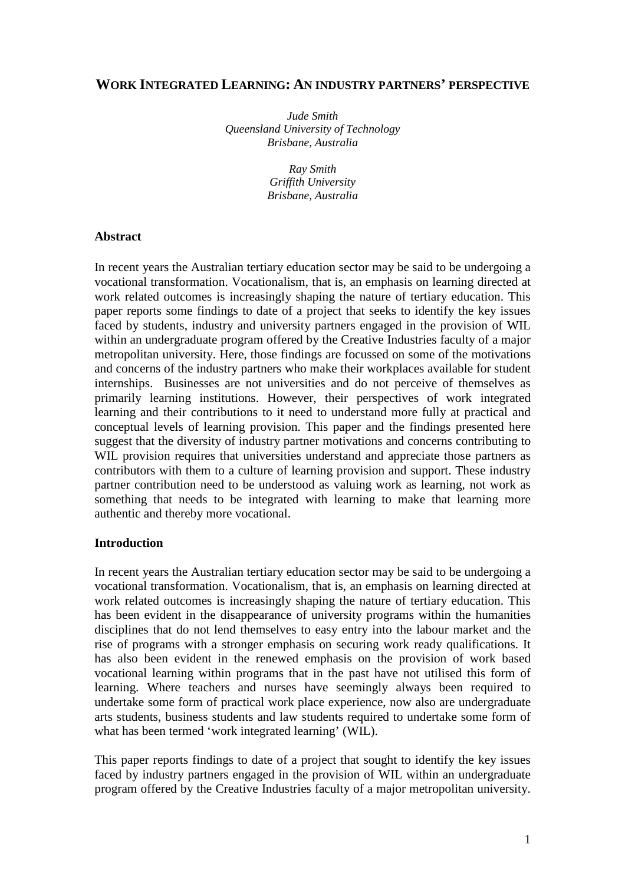# **WORK INTEGRATED LEARNING: AN INDUSTRY PARTNERS' PERSPECTIVE**

*Jude Smith Queensland University of Technology Brisbane, Australia* 

> *Ray Smith Griffith University Brisbane, Australia*

### **Abstract**

In recent years the Australian tertiary education sector may be said to be undergoing a vocational transformation. Vocationalism, that is, an emphasis on learning directed at work related outcomes is increasingly shaping the nature of tertiary education. This paper reports some findings to date of a project that seeks to identify the key issues faced by students, industry and university partners engaged in the provision of WIL within an undergraduate program offered by the Creative Industries faculty of a major metropolitan university. Here, those findings are focussed on some of the motivations and concerns of the industry partners who make their workplaces available for student internships. Businesses are not universities and do not perceive of themselves as primarily learning institutions. However, their perspectives of work integrated learning and their contributions to it need to understand more fully at practical and conceptual levels of learning provision. This paper and the findings presented here suggest that the diversity of industry partner motivations and concerns contributing to WIL provision requires that universities understand and appreciate those partners as contributors with them to a culture of learning provision and support. These industry partner contribution need to be understood as valuing work as learning, not work as something that needs to be integrated with learning to make that learning more authentic and thereby more vocational.

#### **Introduction**

In recent years the Australian tertiary education sector may be said to be undergoing a vocational transformation. Vocationalism, that is, an emphasis on learning directed at work related outcomes is increasingly shaping the nature of tertiary education. This has been evident in the disappearance of university programs within the humanities disciplines that do not lend themselves to easy entry into the labour market and the rise of programs with a stronger emphasis on securing work ready qualifications. It has also been evident in the renewed emphasis on the provision of work based vocational learning within programs that in the past have not utilised this form of learning. Where teachers and nurses have seemingly always been required to undertake some form of practical work place experience, now also are undergraduate arts students, business students and law students required to undertake some form of what has been termed 'work integrated learning' (WIL).

This paper reports findings to date of a project that sought to identify the key issues faced by industry partners engaged in the provision of WIL within an undergraduate program offered by the Creative Industries faculty of a major metropolitan university.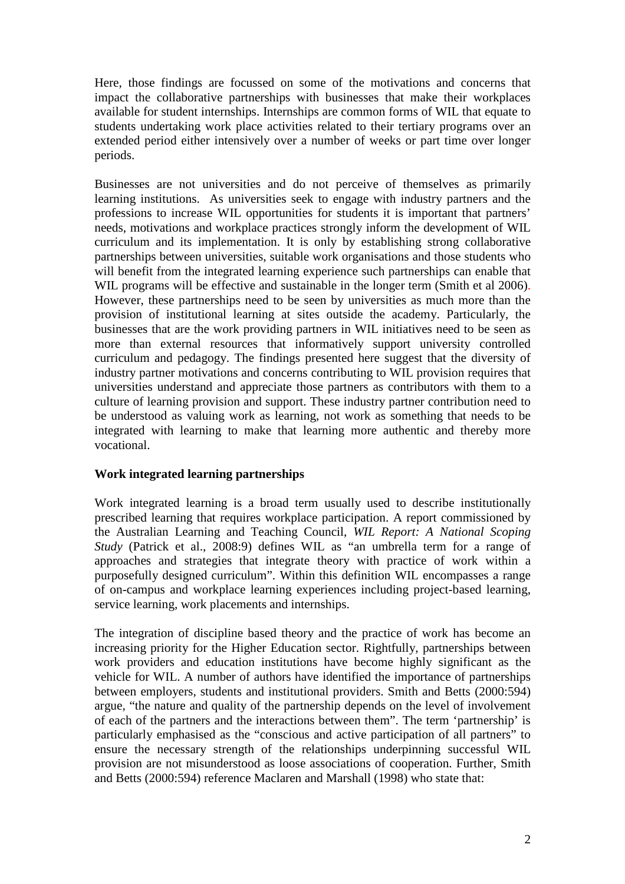Here, those findings are focussed on some of the motivations and concerns that impact the collaborative partnerships with businesses that make their workplaces available for student internships. Internships are common forms of WIL that equate to students undertaking work place activities related to their tertiary programs over an extended period either intensively over a number of weeks or part time over longer periods.

Businesses are not universities and do not perceive of themselves as primarily learning institutions. As universities seek to engage with industry partners and the professions to increase WIL opportunities for students it is important that partners' needs, motivations and workplace practices strongly inform the development of WIL curriculum and its implementation. It is only by establishing strong collaborative partnerships between universities, suitable work organisations and those students who will benefit from the integrated learning experience such partnerships can enable that WIL programs will be effective and sustainable in the longer term (Smith et al 2006). However, these partnerships need to be seen by universities as much more than the provision of institutional learning at sites outside the academy. Particularly, the businesses that are the work providing partners in WIL initiatives need to be seen as more than external resources that informatively support university controlled curriculum and pedagogy. The findings presented here suggest that the diversity of industry partner motivations and concerns contributing to WIL provision requires that universities understand and appreciate those partners as contributors with them to a culture of learning provision and support. These industry partner contribution need to be understood as valuing work as learning, not work as something that needs to be integrated with learning to make that learning more authentic and thereby more vocational.

# **Work integrated learning partnerships**

Work integrated learning is a broad term usually used to describe institutionally prescribed learning that requires workplace participation. A report commissioned by the Australian Learning and Teaching Council, *WIL Report: A National Scoping Study* (Patrick et al., 2008:9) defines WIL as "an umbrella term for a range of approaches and strategies that integrate theory with practice of work within a purposefully designed curriculum". Within this definition WIL encompasses a range of on-campus and workplace learning experiences including project-based learning, service learning, work placements and internships.

The integration of discipline based theory and the practice of work has become an increasing priority for the Higher Education sector. Rightfully, partnerships between work providers and education institutions have become highly significant as the vehicle for WIL. A number of authors have identified the importance of partnerships between employers, students and institutional providers. Smith and Betts (2000:594) argue, "the nature and quality of the partnership depends on the level of involvement of each of the partners and the interactions between them". The term 'partnership' is particularly emphasised as the "conscious and active participation of all partners" to ensure the necessary strength of the relationships underpinning successful WIL provision are not misunderstood as loose associations of cooperation. Further, Smith and Betts (2000:594) reference Maclaren and Marshall (1998) who state that: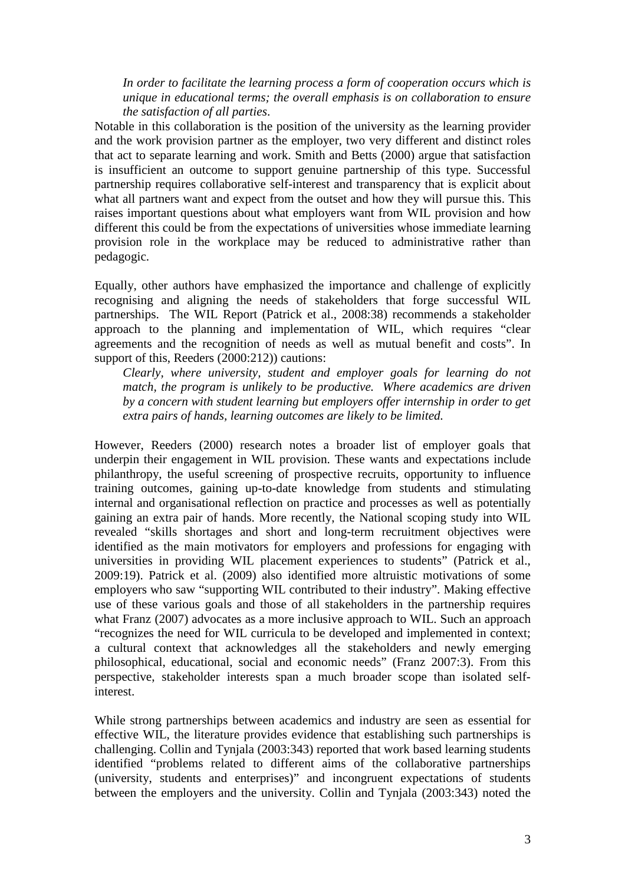*In order to facilitate the learning process a form of cooperation occurs which is unique in educational terms; the overall emphasis is on collaboration to ensure the satisfaction of all parties*.

Notable in this collaboration is the position of the university as the learning provider and the work provision partner as the employer, two very different and distinct roles that act to separate learning and work. Smith and Betts (2000) argue that satisfaction is insufficient an outcome to support genuine partnership of this type. Successful partnership requires collaborative self-interest and transparency that is explicit about what all partners want and expect from the outset and how they will pursue this. This raises important questions about what employers want from WIL provision and how different this could be from the expectations of universities whose immediate learning provision role in the workplace may be reduced to administrative rather than pedagogic.

Equally, other authors have emphasized the importance and challenge of explicitly recognising and aligning the needs of stakeholders that forge successful WIL partnerships. The WIL Report (Patrick et al., 2008:38) recommends a stakeholder approach to the planning and implementation of WIL, which requires "clear agreements and the recognition of needs as well as mutual benefit and costs". In support of this, Reeders (2000:212)) cautions:

*Clearly, where university, student and employer goals for learning do not match, the program is unlikely to be productive. Where academics are driven by a concern with student learning but employers offer internship in order to get extra pairs of hands, learning outcomes are likely to be limited.* 

However, Reeders (2000) research notes a broader list of employer goals that underpin their engagement in WIL provision. These wants and expectations include philanthropy, the useful screening of prospective recruits, opportunity to influence training outcomes, gaining up-to-date knowledge from students and stimulating internal and organisational reflection on practice and processes as well as potentially gaining an extra pair of hands. More recently, the National scoping study into WIL revealed "skills shortages and short and long-term recruitment objectives were identified as the main motivators for employers and professions for engaging with universities in providing WIL placement experiences to students" (Patrick et al., 2009:19). Patrick et al. (2009) also identified more altruistic motivations of some employers who saw "supporting WIL contributed to their industry". Making effective use of these various goals and those of all stakeholders in the partnership requires what Franz (2007) advocates as a more inclusive approach to WIL. Such an approach "recognizes the need for WIL curricula to be developed and implemented in context; a cultural context that acknowledges all the stakeholders and newly emerging philosophical, educational, social and economic needs" (Franz 2007:3). From this perspective, stakeholder interests span a much broader scope than isolated selfinterest.

While strong partnerships between academics and industry are seen as essential for effective WIL, the literature provides evidence that establishing such partnerships is challenging. Collin and Tynjala (2003:343) reported that work based learning students identified "problems related to different aims of the collaborative partnerships (university, students and enterprises)" and incongruent expectations of students between the employers and the university. Collin and Tynjala (2003:343) noted the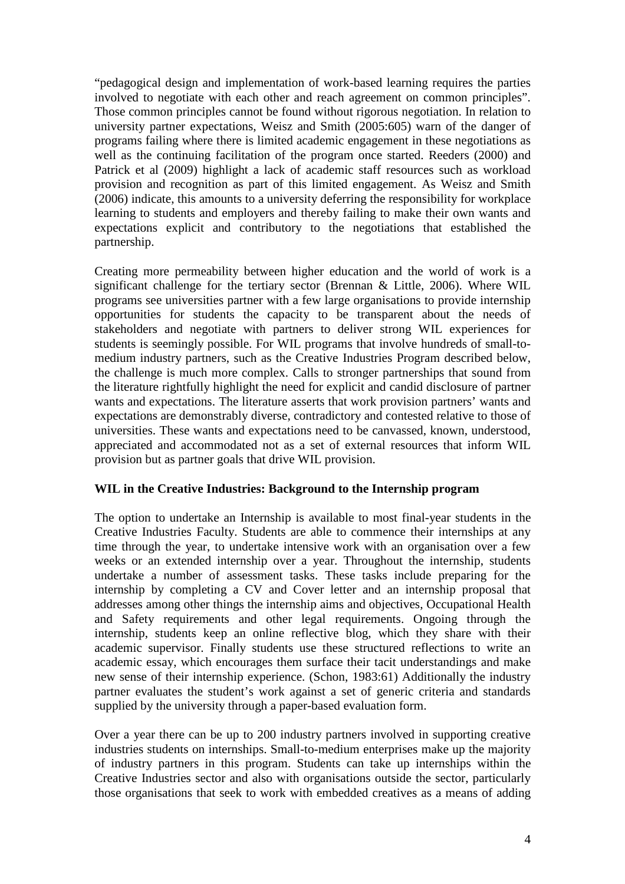"pedagogical design and implementation of work-based learning requires the parties involved to negotiate with each other and reach agreement on common principles". Those common principles cannot be found without rigorous negotiation. In relation to university partner expectations, Weisz and Smith (2005:605) warn of the danger of programs failing where there is limited academic engagement in these negotiations as well as the continuing facilitation of the program once started. Reeders (2000) and Patrick et al (2009) highlight a lack of academic staff resources such as workload provision and recognition as part of this limited engagement. As Weisz and Smith (2006) indicate, this amounts to a university deferring the responsibility for workplace learning to students and employers and thereby failing to make their own wants and expectations explicit and contributory to the negotiations that established the partnership.

Creating more permeability between higher education and the world of work is a significant challenge for the tertiary sector (Brennan & Little, 2006). Where WIL programs see universities partner with a few large organisations to provide internship opportunities for students the capacity to be transparent about the needs of stakeholders and negotiate with partners to deliver strong WIL experiences for students is seemingly possible. For WIL programs that involve hundreds of small-tomedium industry partners, such as the Creative Industries Program described below, the challenge is much more complex. Calls to stronger partnerships that sound from the literature rightfully highlight the need for explicit and candid disclosure of partner wants and expectations. The literature asserts that work provision partners' wants and expectations are demonstrably diverse, contradictory and contested relative to those of universities. These wants and expectations need to be canvassed, known, understood, appreciated and accommodated not as a set of external resources that inform WIL provision but as partner goals that drive WIL provision.

### **WIL in the Creative Industries: Background to the Internship program**

The option to undertake an Internship is available to most final-year students in the Creative Industries Faculty. Students are able to commence their internships at any time through the year, to undertake intensive work with an organisation over a few weeks or an extended internship over a year. Throughout the internship, students undertake a number of assessment tasks. These tasks include preparing for the internship by completing a CV and Cover letter and an internship proposal that addresses among other things the internship aims and objectives, Occupational Health and Safety requirements and other legal requirements. Ongoing through the internship, students keep an online reflective blog, which they share with their academic supervisor. Finally students use these structured reflections to write an academic essay, which encourages them surface their tacit understandings and make new sense of their internship experience. (Schon, 1983:61) Additionally the industry partner evaluates the student's work against a set of generic criteria and standards supplied by the university through a paper-based evaluation form.

Over a year there can be up to 200 industry partners involved in supporting creative industries students on internships. Small-to-medium enterprises make up the majority of industry partners in this program. Students can take up internships within the Creative Industries sector and also with organisations outside the sector, particularly those organisations that seek to work with embedded creatives as a means of adding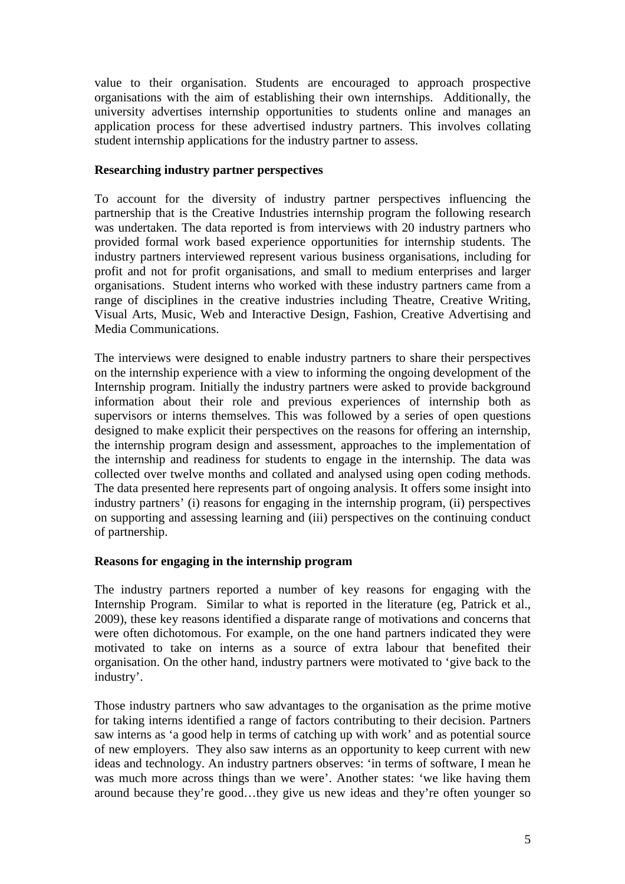value to their organisation. Students are encouraged to approach prospective organisations with the aim of establishing their own internships. Additionally, the university advertises internship opportunities to students online and manages an application process for these advertised industry partners. This involves collating student internship applications for the industry partner to assess.

### **Researching industry partner perspectives**

To account for the diversity of industry partner perspectives influencing the partnership that is the Creative Industries internship program the following research was undertaken. The data reported is from interviews with 20 industry partners who provided formal work based experience opportunities for internship students. The industry partners interviewed represent various business organisations, including for profit and not for profit organisations, and small to medium enterprises and larger organisations. Student interns who worked with these industry partners came from a range of disciplines in the creative industries including Theatre, Creative Writing, Visual Arts, Music, Web and Interactive Design, Fashion, Creative Advertising and Media Communications.

The interviews were designed to enable industry partners to share their perspectives on the internship experience with a view to informing the ongoing development of the Internship program. Initially the industry partners were asked to provide background information about their role and previous experiences of internship both as supervisors or interns themselves. This was followed by a series of open questions designed to make explicit their perspectives on the reasons for offering an internship, the internship program design and assessment, approaches to the implementation of the internship and readiness for students to engage in the internship. The data was collected over twelve months and collated and analysed using open coding methods. The data presented here represents part of ongoing analysis. It offers some insight into industry partners' (i) reasons for engaging in the internship program, (ii) perspectives on supporting and assessing learning and (iii) perspectives on the continuing conduct of partnership.

# **Reasons for engaging in the internship program**

The industry partners reported a number of key reasons for engaging with the Internship Program. Similar to what is reported in the literature (eg, Patrick et al., 2009), these key reasons identified a disparate range of motivations and concerns that were often dichotomous. For example, on the one hand partners indicated they were motivated to take on interns as a source of extra labour that benefited their organisation. On the other hand, industry partners were motivated to 'give back to the industry'.

Those industry partners who saw advantages to the organisation as the prime motive for taking interns identified a range of factors contributing to their decision. Partners saw interns as 'a good help in terms of catching up with work' and as potential source of new employers. They also saw interns as an opportunity to keep current with new ideas and technology. An industry partners observes: 'in terms of software, I mean he was much more across things than we were'. Another states: 'we like having them around because they're good…they give us new ideas and they're often younger so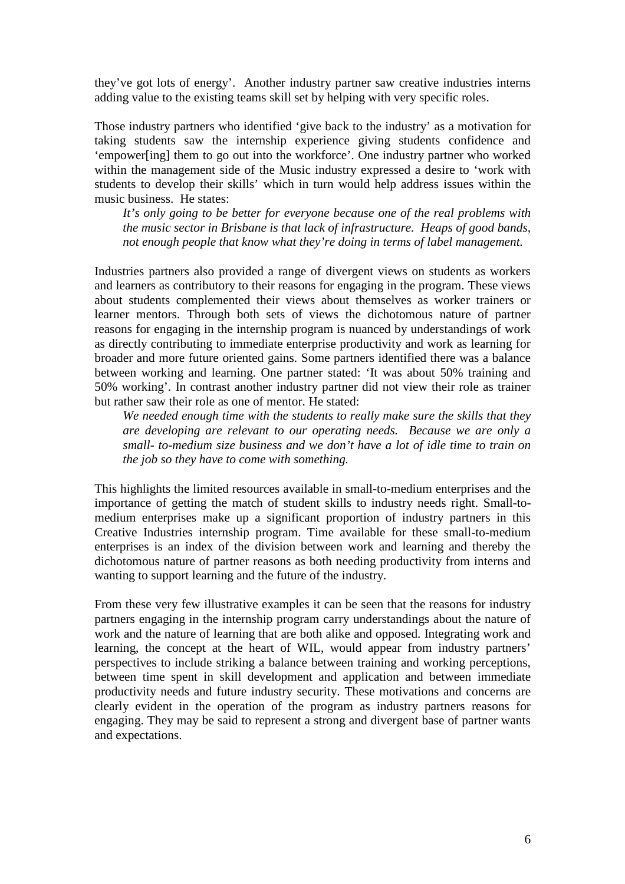they've got lots of energy'. Another industry partner saw creative industries interns adding value to the existing teams skill set by helping with very specific roles.

Those industry partners who identified 'give back to the industry' as a motivation for taking students saw the internship experience giving students confidence and 'empower[ing] them to go out into the workforce'. One industry partner who worked within the management side of the Music industry expressed a desire to 'work with students to develop their skills' which in turn would help address issues within the music business. He states:

*It's only going to be better for everyone because one of the real problems with the music sector in Brisbane is that lack of infrastructure. Heaps of good bands, not enough people that know what they're doing in terms of label management.* 

Industries partners also provided a range of divergent views on students as workers and learners as contributory to their reasons for engaging in the program. These views about students complemented their views about themselves as worker trainers or learner mentors. Through both sets of views the dichotomous nature of partner reasons for engaging in the internship program is nuanced by understandings of work as directly contributing to immediate enterprise productivity and work as learning for broader and more future oriented gains. Some partners identified there was a balance between working and learning. One partner stated: 'It was about 50% training and 50% working'. In contrast another industry partner did not view their role as trainer but rather saw their role as one of mentor. He stated:

*We needed enough time with the students to really make sure the skills that they are developing are relevant to our operating needs. Because we are only a small- to-medium size business and we don't have a lot of idle time to train on the job so they have to come with something.* 

This highlights the limited resources available in small-to-medium enterprises and the importance of getting the match of student skills to industry needs right. Small-tomedium enterprises make up a significant proportion of industry partners in this Creative Industries internship program. Time available for these small-to-medium enterprises is an index of the division between work and learning and thereby the dichotomous nature of partner reasons as both needing productivity from interns and wanting to support learning and the future of the industry.

From these very few illustrative examples it can be seen that the reasons for industry partners engaging in the internship program carry understandings about the nature of work and the nature of learning that are both alike and opposed. Integrating work and learning, the concept at the heart of WIL, would appear from industry partners' perspectives to include striking a balance between training and working perceptions, between time spent in skill development and application and between immediate productivity needs and future industry security. These motivations and concerns are clearly evident in the operation of the program as industry partners reasons for engaging. They may be said to represent a strong and divergent base of partner wants and expectations.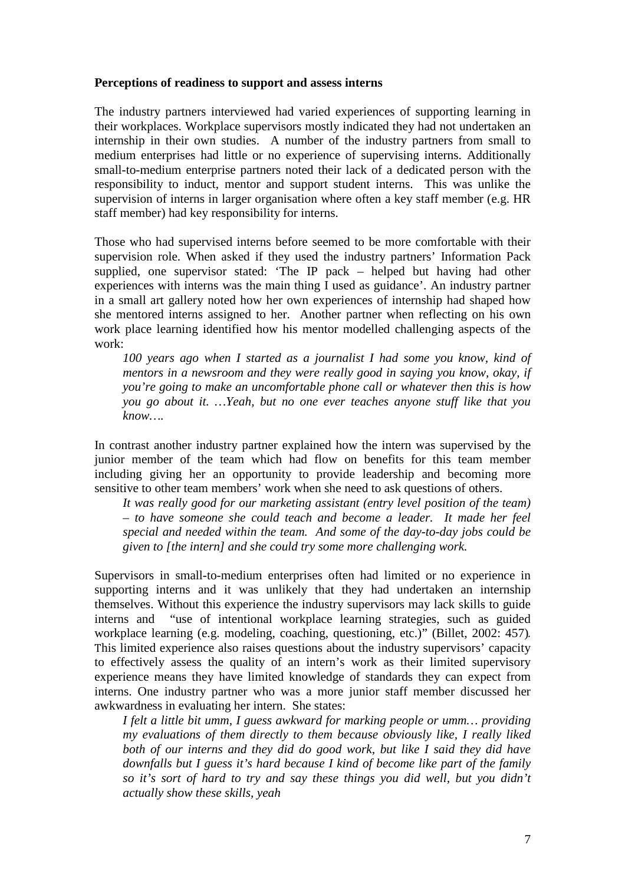### **Perceptions of readiness to support and assess interns**

The industry partners interviewed had varied experiences of supporting learning in their workplaces. Workplace supervisors mostly indicated they had not undertaken an internship in their own studies. A number of the industry partners from small to medium enterprises had little or no experience of supervising interns. Additionally small-to-medium enterprise partners noted their lack of a dedicated person with the responsibility to induct, mentor and support student interns. This was unlike the supervision of interns in larger organisation where often a key staff member (e.g. HR staff member) had key responsibility for interns.

Those who had supervised interns before seemed to be more comfortable with their supervision role. When asked if they used the industry partners' Information Pack supplied, one supervisor stated: 'The IP pack – helped but having had other experiences with interns was the main thing I used as guidance'. An industry partner in a small art gallery noted how her own experiences of internship had shaped how she mentored interns assigned to her. Another partner when reflecting on his own work place learning identified how his mentor modelled challenging aspects of the work:

*100 years ago when I started as a journalist I had some you know, kind of mentors in a newsroom and they were really good in saying you know, okay, if you're going to make an uncomfortable phone call or whatever then this is how you go about it. …Yeah, but no one ever teaches anyone stuff like that you know….* 

In contrast another industry partner explained how the intern was supervised by the junior member of the team which had flow on benefits for this team member including giving her an opportunity to provide leadership and becoming more sensitive to other team members' work when she need to ask questions of others.

*It was really good for our marketing assistant (entry level position of the team) – to have someone she could teach and become a leader. It made her feel special and needed within the team. And some of the day-to-day jobs could be given to [the intern] and she could try some more challenging work.* 

Supervisors in small-to-medium enterprises often had limited or no experience in supporting interns and it was unlikely that they had undertaken an internship themselves. Without this experience the industry supervisors may lack skills to guide interns and "use of intentional workplace learning strategies, such as guided workplace learning (e.g. modeling, coaching, questioning, etc.)" (Billet, 2002: 457). This limited experience also raises questions about the industry supervisors' capacity to effectively assess the quality of an intern's work as their limited supervisory experience means they have limited knowledge of standards they can expect from interns. One industry partner who was a more junior staff member discussed her awkwardness in evaluating her intern. She states:

*I felt a little bit umm, I guess awkward for marking people or umm… providing my evaluations of them directly to them because obviously like, I really liked both of our interns and they did do good work, but like I said they did have downfalls but I guess it's hard because I kind of become like part of the family so it's sort of hard to try and say these things you did well, but you didn't actually show these skills, yeah*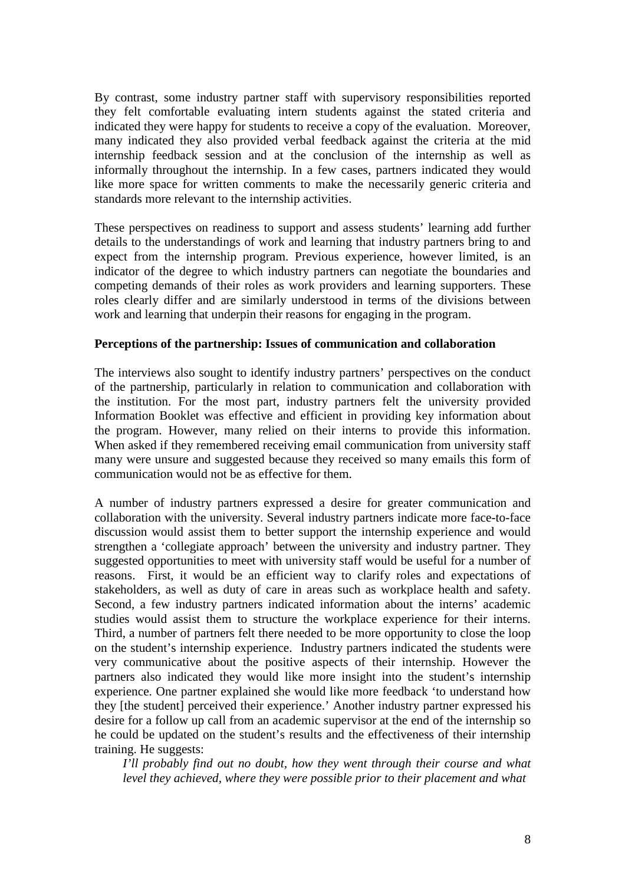By contrast, some industry partner staff with supervisory responsibilities reported they felt comfortable evaluating intern students against the stated criteria and indicated they were happy for students to receive a copy of the evaluation. Moreover, many indicated they also provided verbal feedback against the criteria at the mid internship feedback session and at the conclusion of the internship as well as informally throughout the internship. In a few cases, partners indicated they would like more space for written comments to make the necessarily generic criteria and standards more relevant to the internship activities.

These perspectives on readiness to support and assess students' learning add further details to the understandings of work and learning that industry partners bring to and expect from the internship program. Previous experience, however limited, is an indicator of the degree to which industry partners can negotiate the boundaries and competing demands of their roles as work providers and learning supporters. These roles clearly differ and are similarly understood in terms of the divisions between work and learning that underpin their reasons for engaging in the program.

#### **Perceptions of the partnership: Issues of communication and collaboration**

The interviews also sought to identify industry partners' perspectives on the conduct of the partnership, particularly in relation to communication and collaboration with the institution. For the most part, industry partners felt the university provided Information Booklet was effective and efficient in providing key information about the program. However, many relied on their interns to provide this information. When asked if they remembered receiving email communication from university staff many were unsure and suggested because they received so many emails this form of communication would not be as effective for them.

A number of industry partners expressed a desire for greater communication and collaboration with the university. Several industry partners indicate more face-to-face discussion would assist them to better support the internship experience and would strengthen a 'collegiate approach' between the university and industry partner. They suggested opportunities to meet with university staff would be useful for a number of reasons. First, it would be an efficient way to clarify roles and expectations of stakeholders, as well as duty of care in areas such as workplace health and safety. Second, a few industry partners indicated information about the interns' academic studies would assist them to structure the workplace experience for their interns. Third, a number of partners felt there needed to be more opportunity to close the loop on the student's internship experience. Industry partners indicated the students were very communicative about the positive aspects of their internship. However the partners also indicated they would like more insight into the student's internship experience. One partner explained she would like more feedback 'to understand how they [the student] perceived their experience.' Another industry partner expressed his desire for a follow up call from an academic supervisor at the end of the internship so he could be updated on the student's results and the effectiveness of their internship training. He suggests:

*I'll probably find out no doubt, how they went through their course and what level they achieved, where they were possible prior to their placement and what*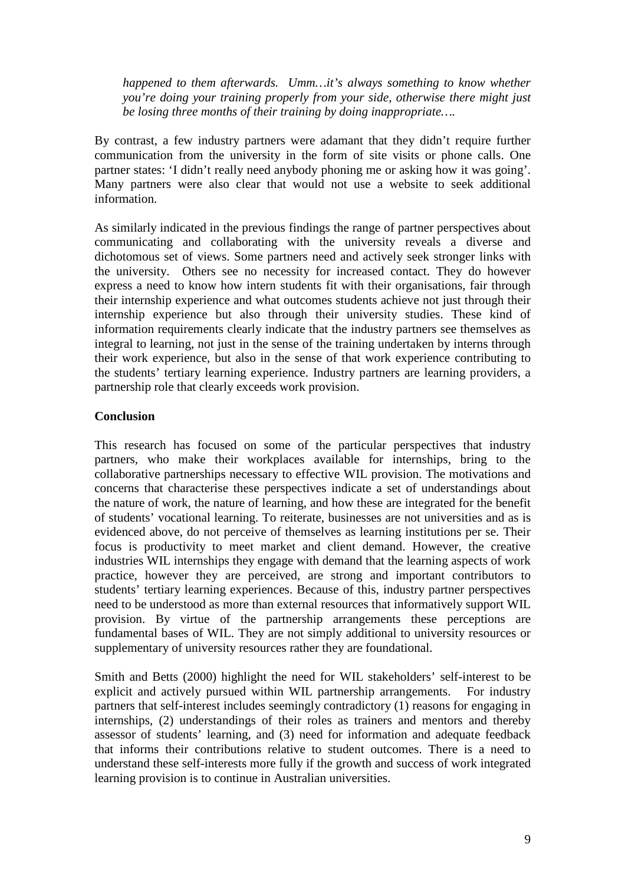*happened to them afterwards. Umm…it's always something to know whether you're doing your training properly from your side, otherwise there might just be losing three months of their training by doing inappropriate….* 

By contrast, a few industry partners were adamant that they didn't require further communication from the university in the form of site visits or phone calls. One partner states: 'I didn't really need anybody phoning me or asking how it was going'. Many partners were also clear that would not use a website to seek additional information.

As similarly indicated in the previous findings the range of partner perspectives about communicating and collaborating with the university reveals a diverse and dichotomous set of views. Some partners need and actively seek stronger links with the university. Others see no necessity for increased contact. They do however express a need to know how intern students fit with their organisations, fair through their internship experience and what outcomes students achieve not just through their internship experience but also through their university studies. These kind of information requirements clearly indicate that the industry partners see themselves as integral to learning, not just in the sense of the training undertaken by interns through their work experience, but also in the sense of that work experience contributing to the students' tertiary learning experience. Industry partners are learning providers, a partnership role that clearly exceeds work provision.

# **Conclusion**

This research has focused on some of the particular perspectives that industry partners, who make their workplaces available for internships, bring to the collaborative partnerships necessary to effective WIL provision. The motivations and concerns that characterise these perspectives indicate a set of understandings about the nature of work, the nature of learning, and how these are integrated for the benefit of students' vocational learning. To reiterate, businesses are not universities and as is evidenced above, do not perceive of themselves as learning institutions per se. Their focus is productivity to meet market and client demand. However, the creative industries WIL internships they engage with demand that the learning aspects of work practice, however they are perceived, are strong and important contributors to students' tertiary learning experiences. Because of this, industry partner perspectives need to be understood as more than external resources that informatively support WIL provision. By virtue of the partnership arrangements these perceptions are fundamental bases of WIL. They are not simply additional to university resources or supplementary of university resources rather they are foundational.

Smith and Betts (2000) highlight the need for WIL stakeholders' self-interest to be explicit and actively pursued within WIL partnership arrangements. For industry partners that self-interest includes seemingly contradictory (1) reasons for engaging in internships, (2) understandings of their roles as trainers and mentors and thereby assessor of students' learning, and (3) need for information and adequate feedback that informs their contributions relative to student outcomes. There is a need to understand these self-interests more fully if the growth and success of work integrated learning provision is to continue in Australian universities.